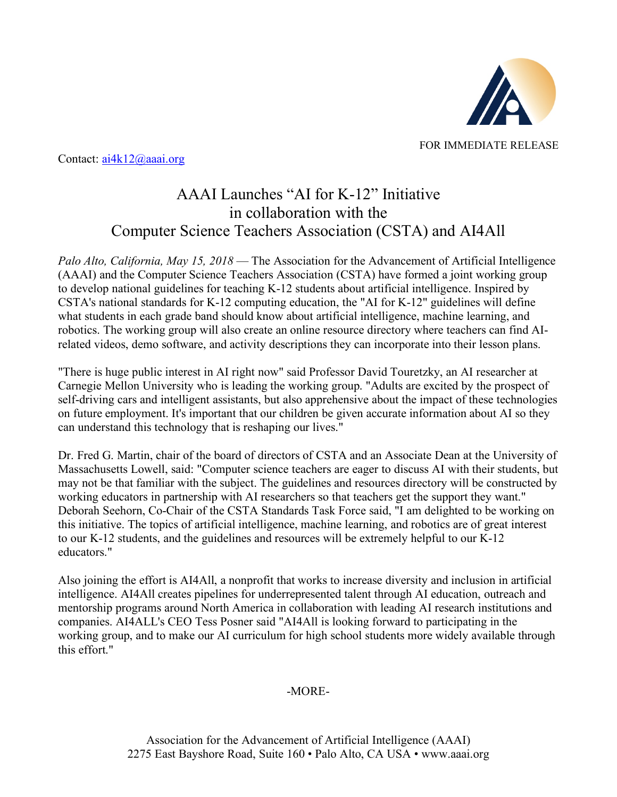

Contact: <u>ai4k12@aaai.org</u>

## AAAI Launches "AI for K-12" Initiative in collaboration with the Computer Science Teachers Association (CSTA) and AI4All

*Palo Alto, California, May 15, 2018* — The Association for the Advancement of Artificial Intelligence (AAAI) and the Computer Science Teachers Association (CSTA) have formed a joint working group to develop national guidelines for teaching K-12 students about artificial intelligence. Inspired by CSTA's national standards for K-12 computing education, the "AI for K-12" guidelines will define what students in each grade band should know about artificial intelligence, machine learning, and robotics. The working group will also create an online resource directory where teachers can find AIrelated videos, demo software, and activity descriptions they can incorporate into their lesson plans.

"There is huge public interest in AI right now" said Professor David Touretzky, an AI researcher at Carnegie Mellon University who is leading the working group. "Adults are excited by the prospect of self-driving cars and intelligent assistants, but also apprehensive about the impact of these technologies on future employment. It's important that our children be given accurate information about AI so they can understand this technology that is reshaping our lives."

Dr. Fred G. Martin, chair of the board of directors of CSTA and an Associate Dean at the University of Massachusetts Lowell, said: "Computer science teachers are eager to discuss AI with their students, but may not be that familiar with the subject. The guidelines and resources directory will be constructed by working educators in partnership with AI researchers so that teachers get the support they want." Deborah Seehorn, Co-Chair of the CSTA Standards Task Force said, "I am delighted to be working on this initiative. The topics of artificial intelligence, machine learning, and robotics are of great interest to our K-12 students, and the guidelines and resources will be extremely helpful to our K-12 educators."

Also joining the effort is AI4All, a nonprofit that works to increase diversity and inclusion in artificial intelligence. AI4All creates pipelines for underrepresented talent through AI education, outreach and mentorship programs around North America in collaboration with leading AI research institutions and companies. AI4ALL's CEO Tess Posner said "AI4All is looking forward to participating in the working group, and to make our AI curriculum for high school students more widely available through this effort."

## -MORE-